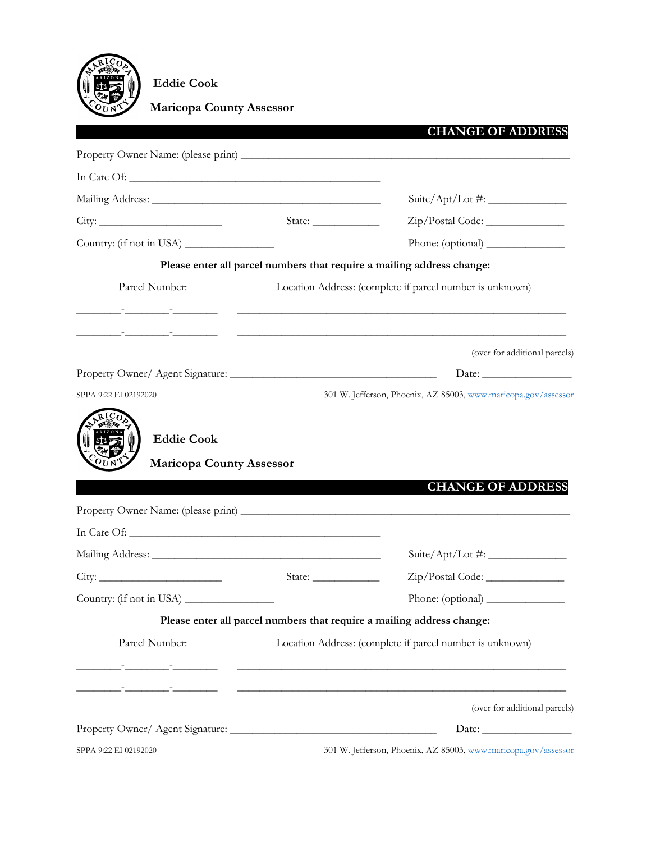

 **Eddie Cook**

 **Maricopa County Assessor**

|                                                                                                  |                                   | <b>CHANGE OF ADDRESS</b>                                               |
|--------------------------------------------------------------------------------------------------|-----------------------------------|------------------------------------------------------------------------|
|                                                                                                  |                                   |                                                                        |
|                                                                                                  |                                   |                                                                        |
|                                                                                                  |                                   | Suite/Apt/Lot #: $\frac{2}{\sqrt{2\pi}}$                               |
|                                                                                                  | State: $\frac{\sqrt{2\pi}}{2\pi}$ |                                                                        |
| Country: (if not in USA) _______________                                                         |                                   | Phone: (optional)                                                      |
|                                                                                                  |                                   | Please enter all parcel numbers that require a mailing address change: |
| Parcel Number:                                                                                   |                                   | Location Address: (complete if parcel number is unknown)               |
|                                                                                                  |                                   |                                                                        |
|                                                                                                  |                                   |                                                                        |
|                                                                                                  |                                   | (over for additional parcels)                                          |
|                                                                                                  |                                   |                                                                        |
| <b>Maricopa County Assessor</b>                                                                  |                                   |                                                                        |
|                                                                                                  |                                   |                                                                        |
|                                                                                                  |                                   | <b>CHANGE OF ADDRESS</b>                                               |
|                                                                                                  |                                   |                                                                        |
|                                                                                                  |                                   |                                                                        |
|                                                                                                  |                                   |                                                                        |
|                                                                                                  |                                   |                                                                        |
|                                                                                                  |                                   | Please enter all parcel numbers that require a mailing address change: |
| Parcel Number:                                                                                   |                                   | Location Address: (complete if parcel number is unknown)               |
|                                                                                                  |                                   |                                                                        |
| Country: (if not in USA)<br><u> 1986 - Andrew Standard Barbara, amerikan personal (h. 1986).</u> |                                   |                                                                        |
|                                                                                                  |                                   | (over for additional parcels)                                          |